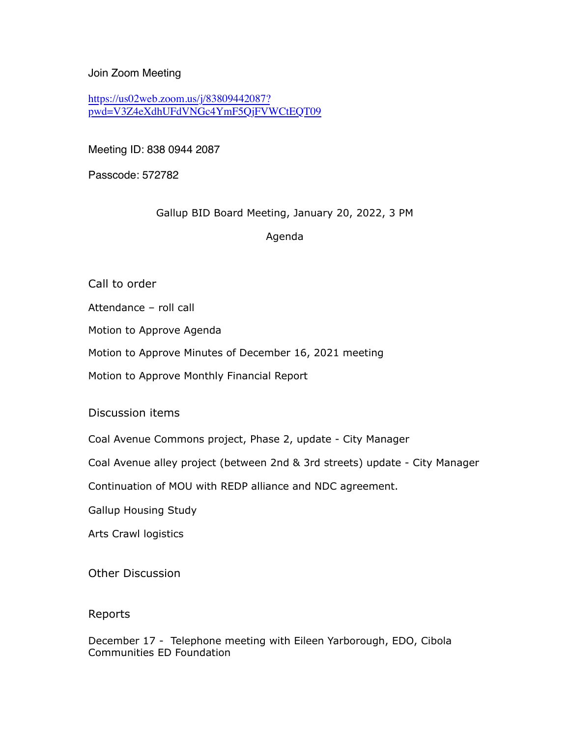Join Zoom Meeting

[https://us02web.zoom.us/j/83809442087?](https://us02web.zoom.us/j/83809442087?pwd=V3Z4eXdhUFdVNGc4YmF5QjFVWCtEQT09) [pwd=V3Z4eXdhUFdVNGc4YmF5QjFVWCtEQT09](https://us02web.zoom.us/j/83809442087?pwd=V3Z4eXdhUFdVNGc4YmF5QjFVWCtEQT09)

Meeting ID: 838 0944 2087

Passcode: 572782

Gallup BID Board Meeting, January 20, 2022, 3 PM

Agenda

Call to order

Attendance – roll call

Motion to Approve Agenda

Motion to Approve Minutes of December 16, 2021 meeting

Motion to Approve Monthly Financial Report

Discussion items

Coal Avenue Commons project, Phase 2, update - City Manager

Coal Avenue alley project (between 2nd & 3rd streets) update - City Manager

Continuation of MOU with REDP alliance and NDC agreement.

Gallup Housing Study

Arts Crawl logistics

Other Discussion

## Reports

December 17 - Telephone meeting with Eileen Yarborough, EDO, Cibola Communities ED Foundation